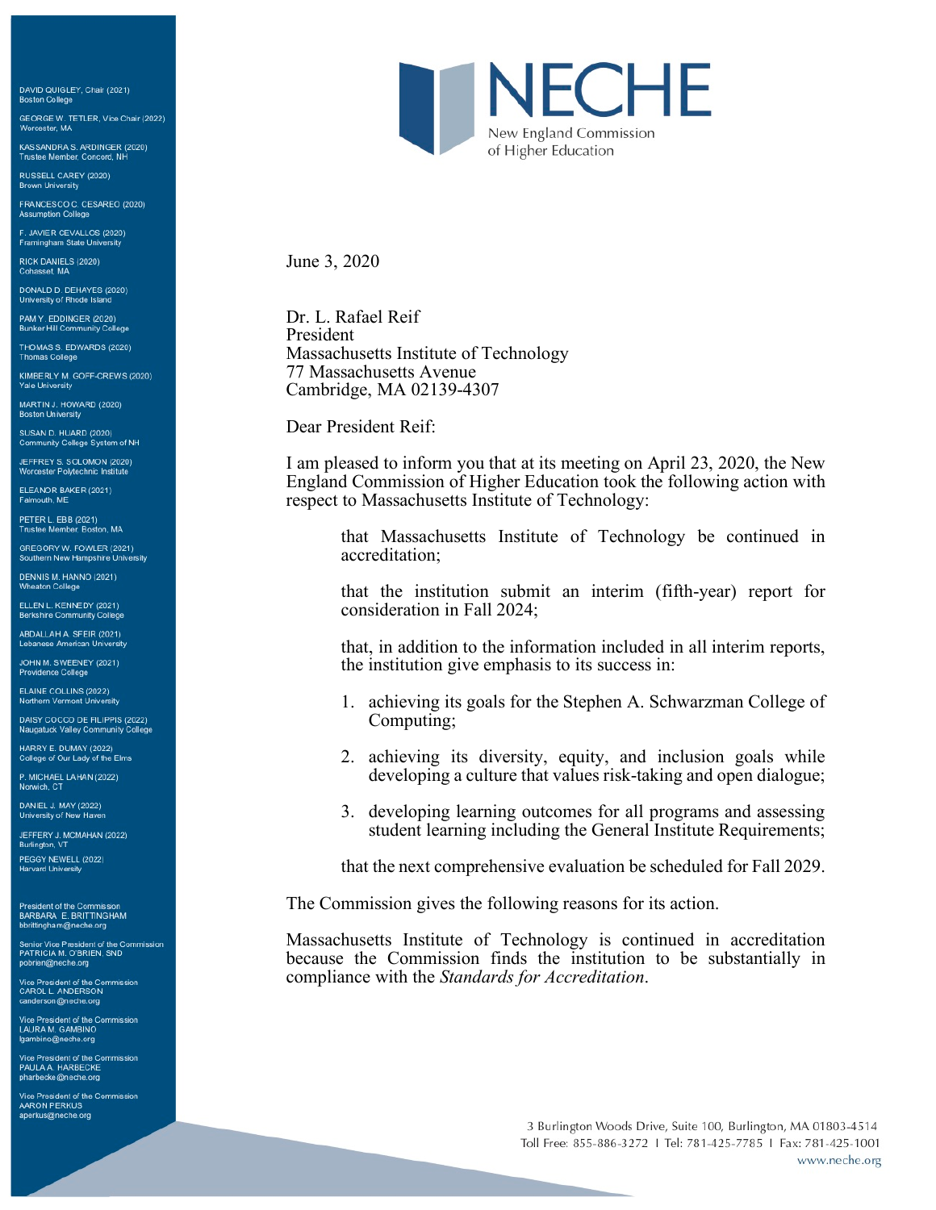DAVID QUIGLEY, Chair (2021) **Boston College** 

GEORGE W. TETLER, Vice Chair (2022)<br>Worcester, MA

KASSANDRA S. ARDINGER (2020)<br>Trustee Member, Concord, NH

RUSSELL CAREY (2020) **Brown University** 

FRANCESCO C. CESAREO (2020) **Assumption Colle** 

F. JAVIER CEVALLOS (2020) Framingham State Unive

RICK DANIELS (2020) hasset, MA

DONALD D. DEHAYES (2020)<br>University of Rhode Island

PAM Y. EDDINGER (2020)<br>Bunker Hill Community College

THOMAS S. EDWARDS (2020) **Thomas College** 

KIMBERLY M. GOFF-CREWS (2020) **Yale University** 

MARTIN J. HOWARD (2020) **Boston University** 

SUSAN D. HUARD (2020) Community College System of NH

JEFFREY S. SOLOMON (2020) Worcester Polytechnic Institute

ELEANOR BAKER (2021) Falmouth, ME

PETER L. EBB (2021)<br>Trustee Member, Boston, MA

GREGORY W. FOWLER (2021)<br>Southern New Hampshire University

DENNIS M. HANNO (2021)<br>Wheaton College

ELLEN L. KENNEDY (2021) Berkshire Community Coll

ABDALLAH A. SFEIR (2021) Lebanese American University

JOHN M. SWEENEY (2021) Providence College

ELAINE COLLINS (2022) Northern Vermont University

DAISY COCCO DE FILIPPIS (2022) Naugatuck Valley Community College

HARRY E. DUMAY (2022) College of Our Lady of the Elms

P. MICHAEL LAHAN (2022) Norwich, CT

DANIEL J. MAY (2022) University of New Haver

JEFFERY J. MCMAHAN (2022) Burlington, VT

PEGGY NEWELL (2022) **Harvard University** 

President of the Commission<br>BARBARA E. BRITTINGHAM bbrittingham@neche.org

Senior Vice President of the Commission<br>PATRICIA M. O'BRIEN, SND pobrien@neche.org

Vice President of the Commission<br>CAROL L. ANDERSON<br>canderson@neche.org

Vice President of the Commission<br>LAURA M. GAMBINO lgambino@neche.org

Vice President of the Commission PAULA A. HARBECKE<br>pharbecke@neche.org

Vice President of the Commission AARON PERKUS aperkus@neche.org



June 3, 2020

Dr. L. Rafael Reif President Massachusetts Institute of Technology 77 Massachusetts Avenue Cambridge, MA 02139-4307

Dear President Reif:

I am pleased to inform you that at its meeting on April 23, 2020, the New England Commission of Higher Education took the following action with respect to Massachusetts Institute of Technology:

that Massachusetts Institute of Technology be continued in accreditation;

that the institution submit an interim (fifth-year) report for consideration in Fall 2024;

that, in addition to the information included in all interim reports, the institution give emphasis to its success in:

- 1. achieving its goals for the Stephen A. Schwarzman College of Computing;
- 2. achieving its diversity, equity, and inclusion goals while developing a culture that values risk-taking and open dialogue;
- 3. developing learning outcomes for all programs and assessing student learning including the General Institute Requirements;

that the next comprehensive evaluation be scheduled for Fall 2029.

The Commission gives the following reasons for its action.

Massachusetts Institute of Technology is continued in accreditation because the Commission finds the institution to be substantially in compliance with the *Standards for Accreditation*.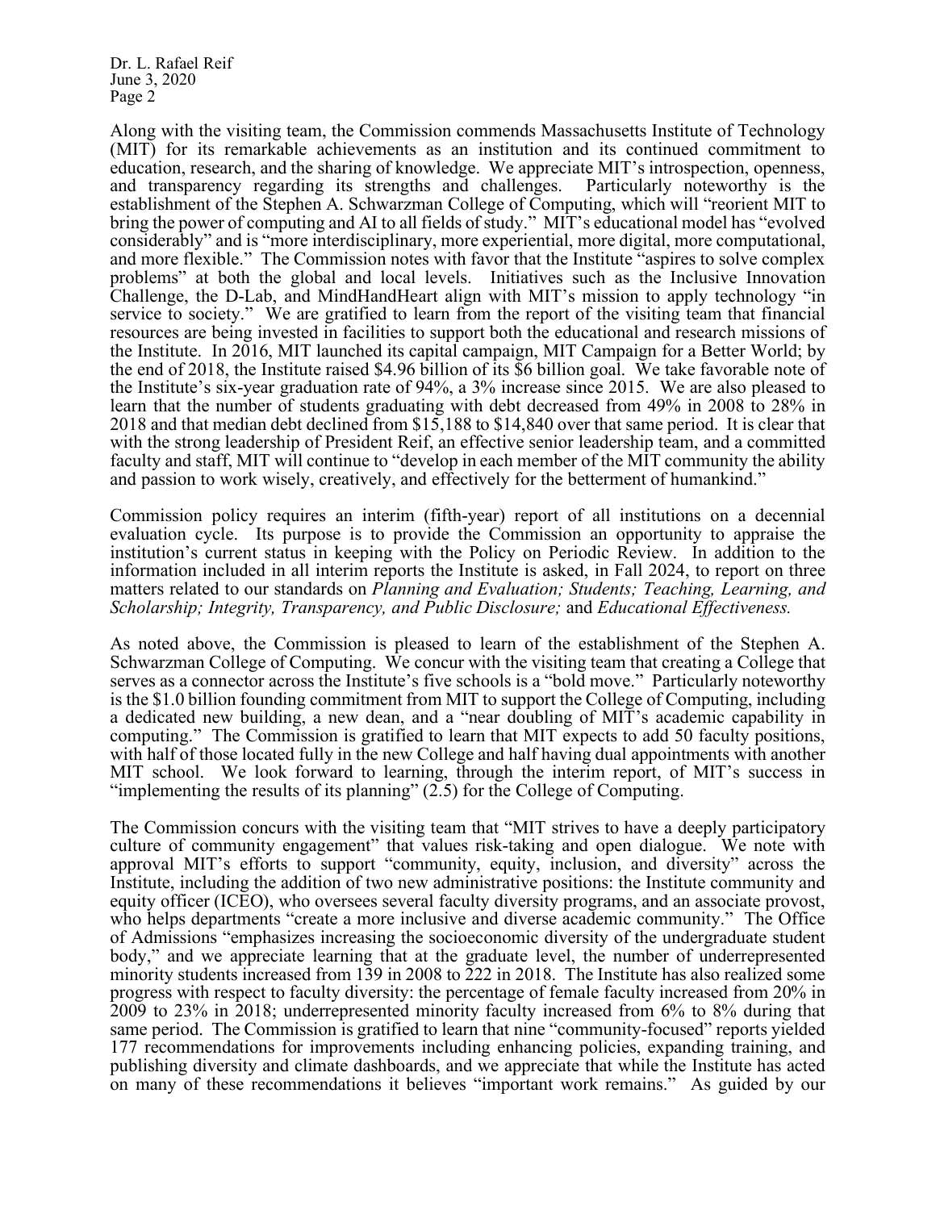Dr. L. Rafael Reif June 3, 2020 Page 2

Along with the visiting team, the Commission commends Massachusetts Institute of Technology (MIT) for its remarkable achievements as an institution and its continued commitment to education, research, and the sharing of knowledge. We appreciate MIT's introspection, openness, and transparency regarding its strengths and challenges. Particularly noteworthy is the and transparency regarding its strengths and challenges. establishment of the Stephen A. Schwarzman College of Computing, which will "reorient MIT to bring the power of computing and AI to all fields of study." MIT's educational model has "evolved considerably" and is "more interdisciplinary, more experiential, more digital, more computational, and more flexible." The Commission notes with favor that the Institute "aspires to solve complex problems" at both the global and local levels. Initiatives such as the Inclusive Innovation Challenge, the D-Lab, and MindHandHeart align with MIT's mission to apply technology "in service to society." We are gratified to learn from the report of the visiting team that financial resources are being invested in facilities to support both the educational and research missions of the Institute. In 2016, MIT launched its capital campaign, MIT Campaign for a Better World; by the end of 2018, the Institute raised \$4.96 billion of its \$6 billion goal. We take favorable note of the Institute's six-year graduation rate of 94%, a 3% increase since 2015. We are also pleased to learn that the number of students graduating with debt decreased from 49% in 2008 to 28% in 2018 and that median debt declined from \$15,188 to \$14,840 over that same period. It is clear that with the strong leadership of President Reif, an effective senior leadership team, and a committed faculty and staff, MIT will continue to "develop in each member of the MIT community the ability and passion to work wisely, creatively, and effectively for the betterment of humankind."

Commission policy requires an interim (fifth-year) report of all institutions on a decennial evaluation cycle. Its purpose is to provide the Commission an opportunity to appraise the institution's current status in keeping with the Policy on Periodic Review. In addition to the information included in all interim reports the Institute is asked, in Fall 2024, to report on three matters related to our standards on *Planning and Evaluation; Students; Teaching, Learning, and Scholarship; Integrity, Transparency, and Public Disclosure;* and *Educational Effectiveness.*

As noted above, the Commission is pleased to learn of the establishment of the Stephen A. Schwarzman College of Computing. We concur with the visiting team that creating a College that serves as a connector across the Institute's five schools is a "bold move." Particularly noteworthy is the \$1.0 billion founding commitment from MIT to support the College of Computing, including a dedicated new building, a new dean, and a "near doubling of MIT's academic capability in computing." The Commission is gratified to learn that MIT expects to add 50 faculty positions, with half of those located fully in the new College and half having dual appointments with another MIT school. We look forward to learning, through the interim report, of MIT's success in "implementing the results of its planning"  $(2.5)$  for the College of Computing.

The Commission concurs with the visiting team that "MIT strives to have a deeply participatory culture of community engagement" that values risk-taking and open dialogue. We note with approval MIT's efforts to support "community, equity, inclusion, and diversity" across the Institute, including the addition of two new administrative positions: the Institute community and equity officer (ICEO), who oversees several faculty diversity programs, and an associate provost, who helps departments "create a more inclusive and diverse academic community." The Office of Admissions "emphasizes increasing the socioeconomic diversity of the undergraduate student body," and we appreciate learning that at the graduate level, the number of underrepresented minority students increased from 139 in 2008 to 222 in 2018. The Institute has also realized some progress with respect to faculty diversity: the percentage of female faculty increased from 20% in 2009 to 23% in 2018; underrepresented minority faculty increased from 6% to 8% during that same period. The Commission is gratified to learn that nine "community-focused" reports yielded 177 recommendations for improvements including enhancing policies, expanding training, and publishing diversity and climate dashboards, and we appreciate that while the Institute has acted on many of these recommendations it believes "important work remains." As guided by our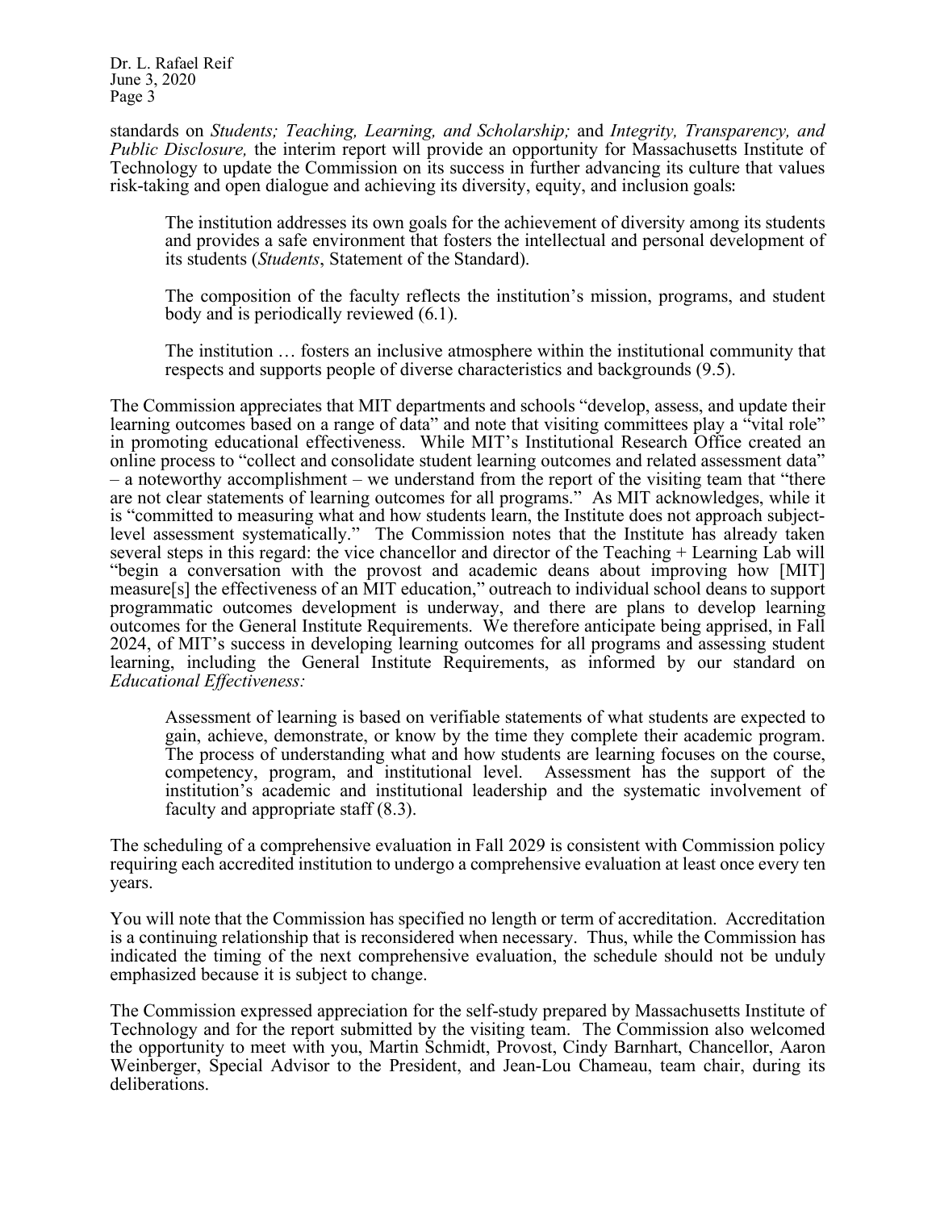Dr. L. Rafael Reif June 3, 2020 Page 3

standards on *Students; Teaching, Learning, and Scholarship;* and *Integrity, Transparency, and Public Disclosure,* the interim report will provide an opportunity for Massachusetts Institute of Technology to update the Commission on its success in further advancing its culture that values risk-taking and open dialogue and achieving its diversity, equity, and inclusion goals:

The institution addresses its own goals for the achievement of diversity among its students and provides a safe environment that fosters the intellectual and personal development of its students (*Students*, Statement of the Standard).

The composition of the faculty reflects the institution's mission, programs, and student body and is periodically reviewed (6.1).

The institution … fosters an inclusive atmosphere within the institutional community that respects and supports people of diverse characteristics and backgrounds (9.5).

The Commission appreciates that MIT departments and schools "develop, assess, and update their learning outcomes based on a range of data" and note that visiting committees play a "vital role" in promoting educational effectiveness. While MIT's Institutional Research Office created an online process to "collect and consolidate student learning outcomes and related assessment data" – a noteworthy accomplishment – we understand from the report of the visiting team that "there are not clear statements of learning outcomes for all programs." As MIT acknowledges, while it is "committed to measuring what and how students learn, the Institute does not approach subjectlevel assessment systematically." The Commission notes that the Institute has already taken several steps in this regard: the vice chancellor and director of the Teaching + Learning Lab will "begin a conversation with the provost and academic deans about improving how [MIT] measure[s] the effectiveness of an MIT education," outreach to individual school deans to support programmatic outcomes development is underway, and there are plans to develop learning outcomes for the General Institute Requirements. We therefore anticipate being apprised, in Fall 2024, of MIT's success in developing learning outcomes for all programs and assessing student learning, including the General Institute Requirements, as informed by our standard on *Educational Effectiveness:*

Assessment of learning is based on verifiable statements of what students are expected to gain, achieve, demonstrate, or know by the time they complete their academic program. The process of understanding what and how students are learning focuses on the course, competency, program, and institutional level. Assessment has the support of the institution's academic and institutional leadership and the systematic involvement of faculty and appropriate staff (8.3).

The scheduling of a comprehensive evaluation in Fall 2029 is consistent with Commission policy requiring each accredited institution to undergo a comprehensive evaluation at least once every ten years.

You will note that the Commission has specified no length or term of accreditation. Accreditation is a continuing relationship that is reconsidered when necessary. Thus, while the Commission has indicated the timing of the next comprehensive evaluation, the schedule should not be unduly emphasized because it is subject to change.

The Commission expressed appreciation for the self-study prepared by Massachusetts Institute of Technology and for the report submitted by the visiting team. The Commission also welcomed the opportunity to meet with you, Martin Schmidt, Provost, Cindy Barnhart, Chancellor, Aaron Weinberger, Special Advisor to the President, and Jean-Lou Chameau, team chair, during its deliberations.